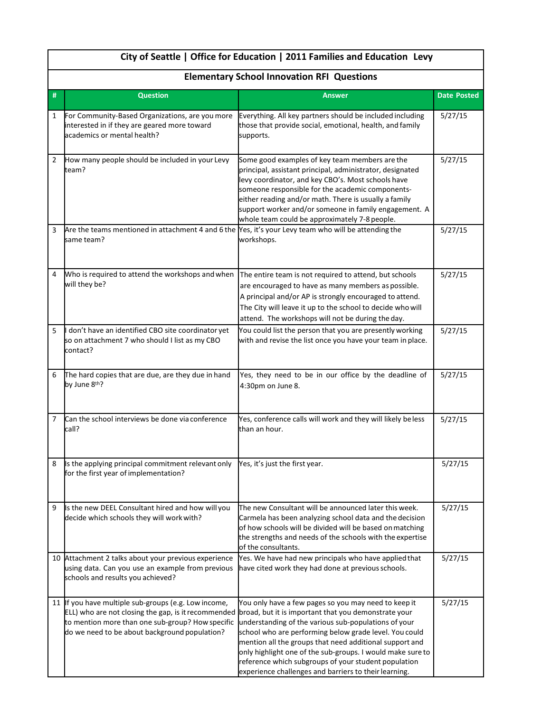|                | City of Seattle   Office for Education   2011 Families and Education Levy<br><b>Elementary School Innovation RFI Questions</b>                                                                                   |                                                                                                                                                                                                                                                                                                                                                                                                                                                                          |                    |  |  |
|----------------|------------------------------------------------------------------------------------------------------------------------------------------------------------------------------------------------------------------|--------------------------------------------------------------------------------------------------------------------------------------------------------------------------------------------------------------------------------------------------------------------------------------------------------------------------------------------------------------------------------------------------------------------------------------------------------------------------|--------------------|--|--|
|                |                                                                                                                                                                                                                  |                                                                                                                                                                                                                                                                                                                                                                                                                                                                          |                    |  |  |
| #              | <b>Question</b>                                                                                                                                                                                                  | <b>Answer</b>                                                                                                                                                                                                                                                                                                                                                                                                                                                            | <b>Date Posted</b> |  |  |
| 1              | For Community-Based Organizations, are you more<br>interested in if they are geared more toward<br>academics or mental health?                                                                                   | Everything. All key partners should be included including<br>those that provide social, emotional, health, and family<br>supports.                                                                                                                                                                                                                                                                                                                                       | 5/27/15            |  |  |
| $\overline{2}$ | How many people should be included in your Levy<br>team?                                                                                                                                                         | Some good examples of key team members are the<br>principal, assistant principal, administrator, designated<br>levy coordinator, and key CBO's. Most schools have<br>someone responsible for the academic components-<br>either reading and/or math. There is usually a family<br>support worker and/or someone in family engagement. A<br>whole team could be approximately 7-8 people.                                                                                 | 5/27/15            |  |  |
| 3              | Are the teams mentioned in attachment 4 and 6 the Yes, it's your Levy team who will be attending the<br>same team?                                                                                               | workshops.                                                                                                                                                                                                                                                                                                                                                                                                                                                               | 5/27/15            |  |  |
| 4              | Who is required to attend the workshops and when<br>will they be?                                                                                                                                                | The entire team is not required to attend, but schools<br>are encouraged to have as many members as possible.<br>A principal and/or AP is strongly encouraged to attend.<br>The City will leave it up to the school to decide who will<br>attend. The workshops will not be during the day.                                                                                                                                                                              | 5/27/15            |  |  |
| 5              | don't have an identified CBO site coordinator yet<br>so on attachment 7 who should I list as my CBO<br>contact?                                                                                                  | You could list the person that you are presently working<br>with and revise the list once you have your team in place.                                                                                                                                                                                                                                                                                                                                                   | 5/27/15            |  |  |
| 6              | The hard copies that are due, are they due in hand<br>by June 8th?                                                                                                                                               | Yes, they need to be in our office by the deadline of<br>4:30pm on June 8.                                                                                                                                                                                                                                                                                                                                                                                               | 5/27/15            |  |  |
| 7              | Can the school interviews be done via conference<br>call?                                                                                                                                                        | Yes, conference calls will work and they will likely beless<br>than an hour.                                                                                                                                                                                                                                                                                                                                                                                             | 5/27/15            |  |  |
| 8              | Is the applying principal commitment relevant only<br>for the first year of implementation?                                                                                                                      | Yes, it's just the first year.                                                                                                                                                                                                                                                                                                                                                                                                                                           | 5/27/15            |  |  |
| 9              | Is the new DEEL Consultant hired and how will you<br>decide which schools they will work with?                                                                                                                   | The new Consultant will be announced later this week.<br>Carmela has been analyzing school data and the decision<br>of how schools will be divided will be based on matching<br>the strengths and needs of the schools with the expertise<br>of the consultants.                                                                                                                                                                                                         | 5/27/15            |  |  |
|                | 10 Attachment 2 talks about your previous experience<br>using data. Can you use an example from previous<br>schools and results you achieved?                                                                    | Yes. We have had new principals who have applied that<br>have cited work they had done at previous schools.                                                                                                                                                                                                                                                                                                                                                              | 5/27/15            |  |  |
|                | 11 If you have multiple sub-groups (e.g. Low income,<br>ELL) who are not closing the gap, is it recommended<br>to mention more than one sub-group? How specific<br>do we need to be about background population? | You only have a few pages so you may need to keep it<br>broad, but it is important that you demonstrate your<br>understanding of the various sub-populations of your<br>school who are performing below grade level. You could<br>mention all the groups that need additional support and<br>only highlight one of the sub-groups. I would make sure to<br>reference which subgroups of your student population<br>experience challenges and barriers to their learning. | 5/27/15            |  |  |